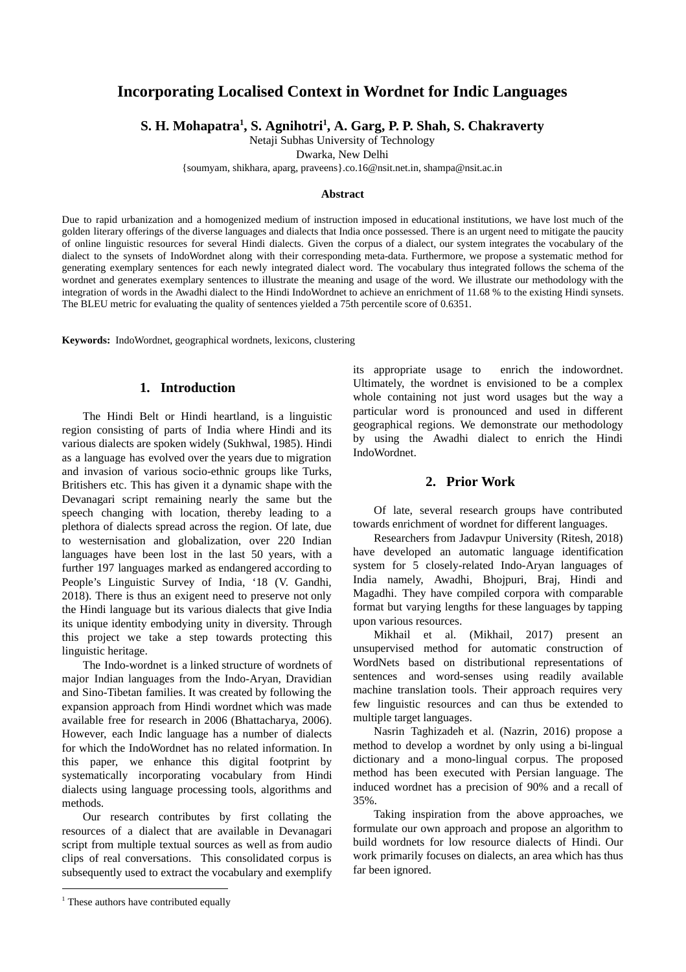# **Incorporating Localised Context in Wordnet for Indic Languages**

**S. H. Mohapatra <sup>1</sup> , S. Agnihotri <sup>1</sup> , A. Garg, P. P. Shah, S. Chakraverty** 

Netaji Subhas University of Technology

Dwarka, New Delhi

{soumyam, shikhara, aparg, praveens}.co.16@nsit.net.in, shampa@nsit.ac.in

#### **Abstract**

Due to rapid urbanization and a homogenized medium of instruction imposed in educational institutions, we have lost much of the golden literary offerings of the diverse languages and dialects that India once possessed. There is an urgent need to mitigate the paucity of online linguistic resources for several Hindi dialects. Given the corpus of a dialect, our system integrates the vocabulary of the dialect to the synsets of IndoWordnet along with their corresponding meta-data. Furthermore, we propose a systematic method for generating exemplary sentences for each newly integrated dialect word. The vocabulary thus integrated follows the schema of the wordnet and generates exemplary sentences to illustrate the meaning and usage of the word. We illustrate our methodology with the integration of words in the Awadhi dialect to the Hindi IndoWordnet to achieve an enrichment of 11.68 % to the existing Hindi synsets. The BLEU metric for evaluating the quality of sentences yielded a 75th percentile score of 0.6351.

**Keywords:** IndoWordnet, geographical wordnets, lexicons, clustering

## **1. Introduction**

The Hindi Belt or Hindi heartland, is a linguistic region consisting of parts of India where Hindi and its various dialects are spoken widely (Sukhwal, 1985). Hindi as a language has evolved over the years due to migration and invasion of various socio-ethnic groups like Turks, Britishers etc. This has given it a dynamic shape with the Devanagari script remaining nearly the same but the speech changing with location, thereby leading to a plethora of dialects spread across the region. Of late, due to westernisation and globalization, over 220 Indian languages have been lost in the last 50 years, with a further 197 languages marked as endangered according to People's Linguistic Survey of India, '18 (V. Gandhi, 2018). There is thus an exigent need to preserve not only the Hindi language but its various dialects that give India its unique identity embodying unity in diversity. Through this project we take a step towards protecting this linguistic heritage.

The Indo-wordnet is a linked structure of wordnets of major Indian languages from the Indo-Aryan, Dravidian and Sino-Tibetan families. It was created by following the expansion approach from Hindi wordnet which was made available free for research in 2006 (Bhattacharya, 2006). However, each Indic language has a number of dialects for which the IndoWordnet has no related information. In this paper, we enhance this digital footprint by systematically incorporating vocabulary from Hindi dialects using language processing tools, algorithms and methods.

Our research contributes by first collating the resources of a dialect that are available in Devanagari script from multiple textual sources as well as from audio clips of real conversations. This consolidated corpus is subsequently used to extract the vocabulary and exemplify its appropriate usage to enrich the indowordnet. Ultimately, the wordnet is envisioned to be a complex whole containing not just word usages but the way a particular word is pronounced and used in different geographical regions. We demonstrate our methodology by using the Awadhi dialect to enrich the Hindi IndoWordnet.

# **2. Prior Work**

Of late, several research groups have contributed towards enrichment of wordnet for different languages.

Researchers from Jadavpur University (Ritesh, 2018) have developed an automatic language identification system for 5 closely-related Indo-Aryan languages of India namely, Awadhi, Bhojpuri, Braj, Hindi and Magadhi. They have compiled corpora with comparable format but varying lengths for these languages by tapping upon various resources.

Mikhail et al. (Mikhail, 2017) present an unsupervised method for automatic construction of WordNets based on distributional representations of sentences and word-senses using readily available machine translation tools. Their approach requires very few linguistic resources and can thus be extended to multiple target languages.

Nasrin Taghizadeh et al. (Nazrin, 2016) propose a method to develop a wordnet by only using a bi-lingual dictionary and a mono-lingual corpus. The proposed method has been executed with Persian language. The induced wordnet has a precision of 90% and a recall of 35%.

Taking inspiration from the above approaches, we formulate our own approach and propose an algorithm to build wordnets for low resource dialects of Hindi. Our work primarily focuses on dialects, an area which has thus far been ignored.

<sup>&</sup>lt;sup>1</sup> These authors have contributed equally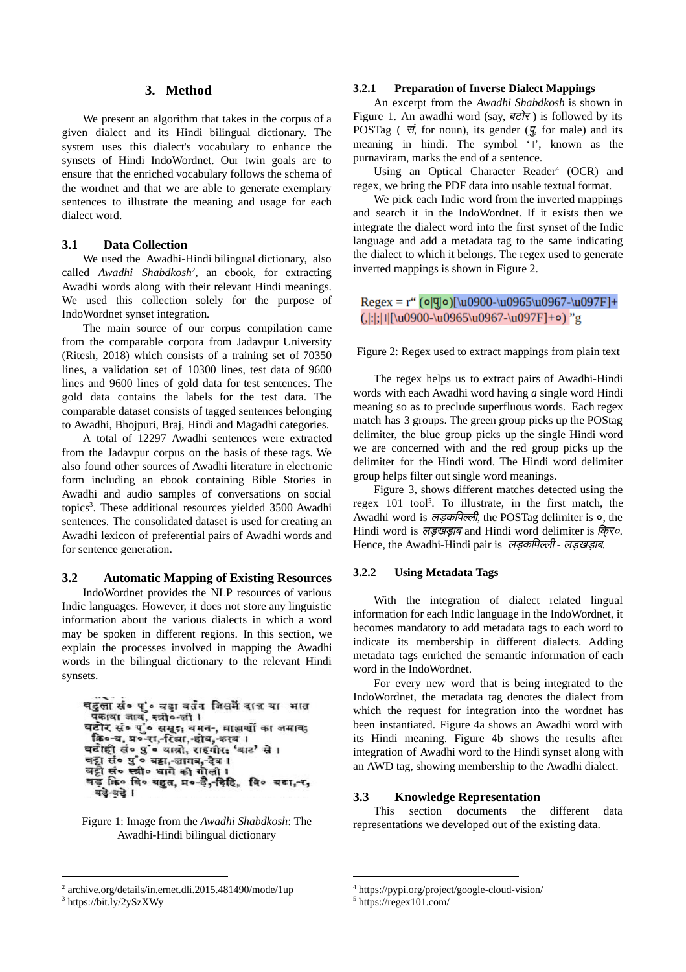# **3. Method**

We present an algorithm that takes in the corpus of a given dialect and its Hindi bilingual dictionary. The system uses this dialect's vocabulary to enhance the synsets of Hindi IndoWordnet. Our twin goals are to ensure that the enriched vocabulary follows the schema of the wordnet and that we are able to generate exemplary sentences to illustrate the meaning and usage for each dialect word.

# **3.1 Data Collection**

We used the Awadhi-Hindi bilingual dictionary, also called Awadhi Shabdkosh<sup>2</sup>, an ebook, for extracting Awadhi words along with their relevant Hindi meanings. We used this collection solely for the purpose of IndoWordnet synset integration*.*

The main source of our corpus compilation came from the comparable corpora from Jadavpur University (Ritesh, 2018) which consists of a training set of 70350 lines, a validation set of 10300 lines, test data of 9600 lines and 9600 lines of gold data for test sentences. The gold data contains the labels for the test data. The comparable dataset consists of tagged sentences belonging to Awadhi, Bhojpuri, Braj, Hindi and Magadhi categories.

A total of 12297 Awadhi sentences were extracted from the Jadavpur corpus on the basis of these tags. We also found other sources of Awadhi literature in electronic form including an ebook containing Bible Stories in Awadhi and audio samples of conversations on social topics<sup>3</sup>. These additional resources yielded 3500 Awadhi sentences. The consolidated dataset is used for creating an Awadhi lexicon of preferential pairs of Awadhi words and for sentence generation.

#### **3.2 Automatic Mapping of Existing Resources**

IndoWordnet provides the NLP resources of various Indic languages. However, it does not store any linguistic information about the various dialects in which a word may be spoken in different regions. In this section, we explain the processes involved in mapping the Awadhi words in the bilingual dictionary to the relevant Hindi synsets.

```
वटुलासं० पुं० वडावतंत जिसमें दात्र या भात
 पकाया जाय, स्त्री०-ली।
वटोर सं० पुं० समूर, वमन-, वाझर्यो का जमाव;<br>कि०-व, प्र०-रा,-रिब्रा,-होव,-कस्व ।
बटोही सं० पुं• यात्रो, राहगीर: 'बाट' से।
वट्टा सं० पुं० वटा, जागब, देव ।
वट्टी सं० स्त्री० धागे को गोली ।
वड़ कि० वि० वहुत, प्र०-ई,-इिहि, वि० वडा,-र,
  यदे-वदे।
```
Figure 1: Image from the *Awadhi Shabdkosh*: The Awadhi-Hindi bilingual dictionary

# **3.2.1 Preparation of Inverse Dialect Mappings**

An excerpt from the *Awadhi Shabdkosh* is shown in Figure 1. An awadhi word (say,  $\overrightarrow{\alpha}$ ) is followed by its POSTag ( $\vec{\tau}$ , for noun), its gender ( $\vec{y}$  for male) and its meaning in hindi. The symbol '।', known as the purnaviram, marks the end of a sentence.

Using an Optical Character Reader<sup>4</sup> (OCR) and regex, we bring the PDF data into usable textual format.

We pick each Indic word from the inverted mappings and search it in the IndoWordnet. If it exists then we integrate the dialect word into the first synset of the Indic language and add a metadata tag to the same indicating the dialect to which it belongs. The regex used to generate inverted mappings is shown in Figure 2.

# Regex = r"  $(o|q|o)$ [\u0900-\u0965\u0967-\u097F]+  $(.|:|1|[\text{10900}]\text{10965}\text{10967}]\text{1097F}+o)$ "g

Figure 2: Regex used to extract mappings from plain text

The regex helps us to extract pairs of Awadhi-Hindi words with each Awadhi word having *a* single word Hindi meaning so as to preclude superfluous words. Each regex match has 3 groups. The green group picks up the POStag delimiter, the blue group picks up the single Hindi word we are concerned with and the red group picks up the delimiter for the Hindi word. The Hindi word delimiter group helps filter out single word meanings.

Figure 3, shows different matches detected using the regex  $101$  tool<sup>5</sup>. To illustrate, in the first match, the Awadhi word is लड़कपिल्ली, the POSTag delimiter is  $\circ$ , the Hindi word is लड़खड़ाब and Hindi word delimiter is िक्र०*.* Hence, the Awadhi-Hindi pair is लड़किपली *-* लड़खड़ाब*.*

## **3.2.2 Using Metadata Tags**

With the integration of dialect related lingual information for each Indic language in the IndoWordnet, it becomes mandatory to add metadata tags to each word to indicate its membership in different dialects. Adding metadata tags enriched the semantic information of each word in the IndoWordnet.

For every new word that is being integrated to the IndoWordnet, the metadata tag denotes the dialect from which the request for integration into the wordnet has been instantiated. Figure 4a shows an Awadhi word with its Hindi meaning. Figure 4b shows the results after integration of Awadhi word to the Hindi synset along with an AWD tag, showing membership to the Awadhi dialect.

#### **3.3 Knowledge Representation**

This section documents the different data representations we developed out of the existing data.

<sup>&</sup>lt;sup>2</sup> archive.org/details/in.ernet.dli.2015.481490/mode/1up 3 https://bit.ly/2ySzXWy

<sup>4</sup> <https://pypi.org/project/google-cloud-vision/>

<sup>5</sup> <https://regex101.com/>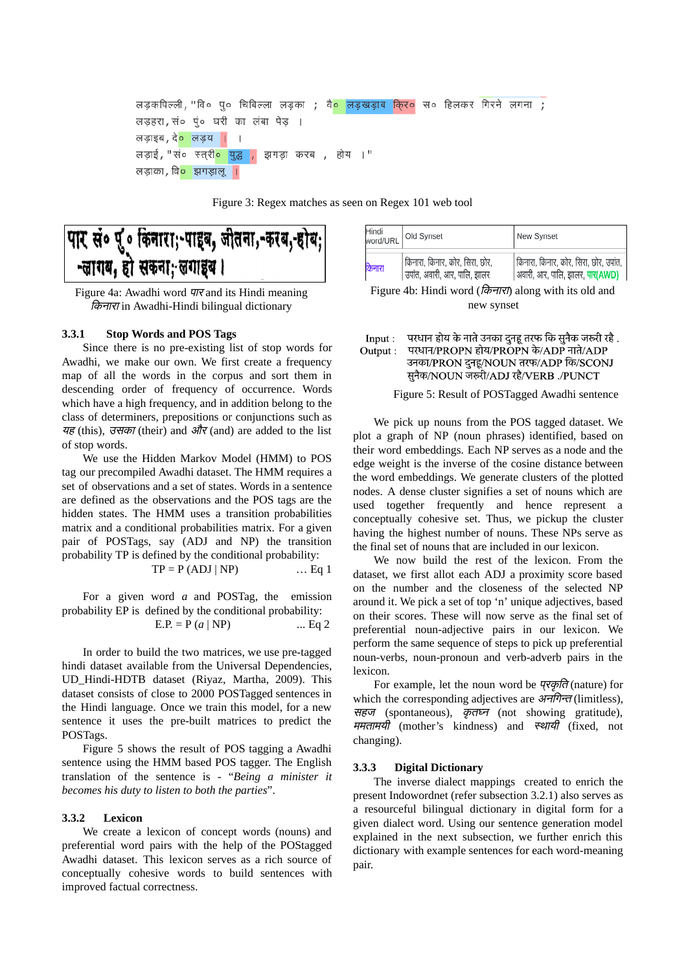```
लडकपिल्ली, "वि० प० चिबिल्ला लडका ; वै० लडखडाब किर० स० हिलकर गिरने लगना ;
लड़हरा, सं० पुं० घरी का लंबा पेड़
लड़ाइब, दे<mark>० लड़य ।</mark> ।
लड़ाई, "सं० स्त्री<mark>० युद्ध ,</mark> झगड़ा करब ,
                                              होय ।"
लड़ाका, वि<mark>० झगड़ालू ।</mark>
```
Figure 3: Regex matches as seen on Regex 101 web tool

# पार सं० पु. किनारा;-पाइब, जीतना,-करब,-होब; -लागय, हो सकना; लगाइव।

Figure 4a: Awadhi word पार and its Hindi meaning *किनारा* in Awadhi-Hindi bilingual dictionary

### **3.3.1 Stop Words and POS Tags**

Since there is no pre-existing list of stop words for Awadhi, we make our own. We first create a frequency map of all the words in the corpus and sort them in descending order of frequency of occurrence. Words which have a high frequency, and in addition belong to the class of determiners, prepositions or conjunctions such as यह (this), उसका (their) and और (and) are added to the list of stop words.

We use the Hidden Markov Model (HMM) to POS tag our precompiled Awadhi dataset. The HMM requires a set of observations and a set of states. Words in a sentence are defined as the observations and the POS tags are the hidden states. The HMM uses a transition probabilities matrix and a conditional probabilities matrix. For a given pair of POSTags, say (ADJ and NP) the transition probability TP is defined by the conditional probability:

$$
TP = P (ADJ | NP)
$$
 ... Eq 1

For a given word *a* and POSTag, the emission probability EP is defined by the conditional probability:  $E.P. = P (a | NP)$  ... Eq 2

In order to build the two matrices, we use pre-tagged hindi dataset available from the Universal Dependencies, UD\_Hindi-HDTB dataset (Riyaz, Martha, 2009). This dataset consists of close to 2000 POSTagged sentences in the Hindi language. Once we train this model, for a new sentence it uses the pre-built matrices to predict the POSTags.

Figure 5 shows the result of POS tagging a Awadhi sentence using the HMM based POS tagger. The English translation of the sentence is - "*Being a minister it becomes his duty to listen to both the parties*".

#### **3.3.2 Lexicon**

We create a lexicon of concept words (nouns) and preferential word pairs with the help of the POStagged Awadhi dataset. This lexicon serves as a rich source of conceptually cohesive words to build sentences with improved factual correctness.

| Hindi<br>word/URL | Old Synset                                                     | New Synset                                                               |
|-------------------|----------------------------------------------------------------|--------------------------------------------------------------------------|
| केनारा            | किनारा, किनार, कोर, सिरा, छोर,<br>उपांत, अवारी, आर, पालि, झालर | किनारा, किनार, कोर, सिरा, छोर, उपांत,<br>अवारी, आर, पालि, झालर, पार(AWD) |

Figure 4b: Hindi word (*किनारा*) along with its old and new synset

#### परधान होय के नाते उनका दुनहू तरफ कि सुनैक जरूरी रहै .  $Input:$ Output: परधान/PROPN होय/PROPN के/ADP नाते/ADP उनका/PRON दुनहू/NOUN तरफ/ADP कि/SCONJ सुनैक/NOUN जरूरी/ADJ रहै/VERB ./PUNCT

#### Figure 5: Result of POSTagged Awadhi sentence

We pick up nouns from the POS tagged dataset. We plot a graph of NP (noun phrases) identified, based on their word embeddings. Each NP serves as a node and the edge weight is the inverse of the cosine distance between the word embeddings. We generate clusters of the plotted nodes. A dense cluster signifies a set of nouns which are used together frequently and hence represent a conceptually cohesive set. Thus, we pickup the cluster having the highest number of nouns. These NPs serve as the final set of nouns that are included in our lexicon.

We now build the rest of the lexicon. From the dataset, we first allot each ADJ a proximity score based on the number and the closeness of the selected NP around it. We pick a set of top 'n' unique adjectives, based on their scores. These will now serve as the final set of preferential noun-adjective pairs in our lexicon. We perform the same sequence of steps to pick up preferential noun-verbs, noun-pronoun and verb-adverb pairs in the lexicon.

For example, let the noun word be *प्<i>रकृति* (nature) for which the corresponding adjectives are  $\frac{37}{77}$  (limitless), सहज (spontaneous), कृतघ्न (not showing gratitude), ममतामयी (mother's kindness) and स्थायी (fixed, not changing).

#### **3.3.3 Digital Dictionary**

The inverse dialect mappings created to enrich the present Indowordnet (refer subsection 3.2.1) also serves as a resourceful bilingual dictionary in digital form for a given dialect word. Using our sentence generation model explained in the next subsection, we further enrich this dictionary with example sentences for each word-meaning pair.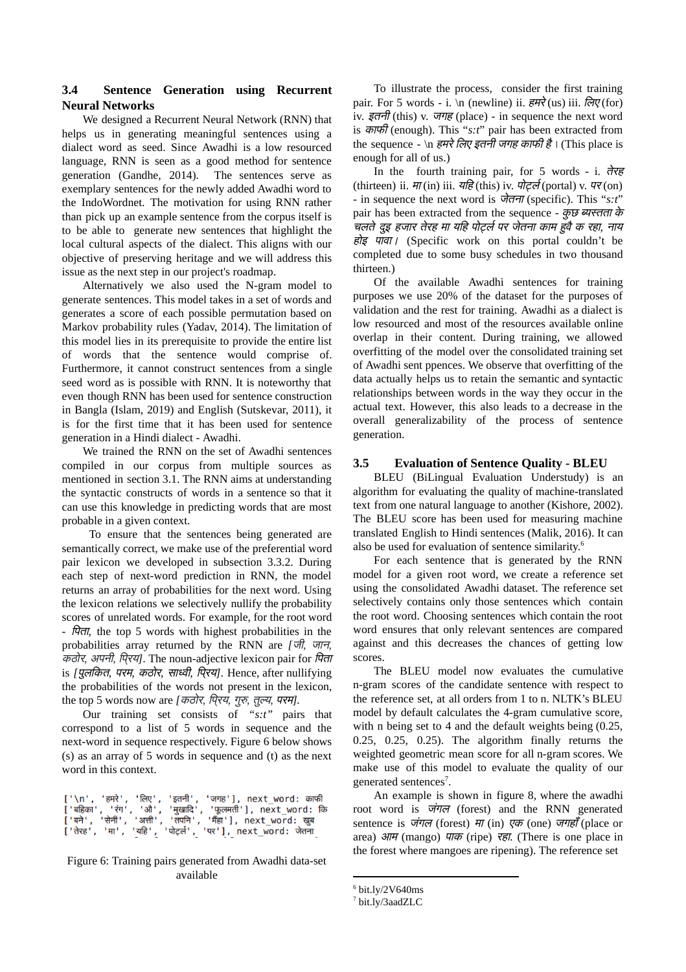# **3.4 Sentence Generation using Recurrent Neural Networks**

We designed a Recurrent Neural Network (RNN) that helps us in generating meaningful sentences using a dialect word as seed. Since Awadhi is a low resourced language, RNN is seen as a good method for sentence generation (Gandhe, 2014). The sentences serve as exemplary sentences for the newly added Awadhi word to the IndoWordnet. The motivation for using RNN rather than pick up an example sentence from the corpus itself is to be able to generate new sentences that highlight the local cultural aspects of the dialect. This aligns with our objective of preserving heritage and we will address this issue as the next step in our project's roadmap.

Alternatively we also used the N-gram model to generate sentences. This model takes in a set of words and generates a score of each possible permutation based on Markov probability rules (Yadav, 2014). The limitation of this model lies in its prerequisite to provide the entire list of words that the sentence would comprise of. Furthermore, it cannot construct sentences from a single seed word as is possible with RNN. It is noteworthy that even though RNN has been used for sentence construction in Bangla (Islam, 2019) and English (Sutskevar, 2011), it is for the first time that it has been used for sentence generation in a Hindi dialect - Awadhi.

We trained the RNN on the set of Awadhi sentences compiled in our corpus from multiple sources as mentioned in section 3.1. The RNN aims at understanding the syntactic constructs of words in a sentence so that it can use this knowledge in predicting words that are most probable in a given context.

To ensure that the sentences being generated are semantically correct, we make use of the preferential word pair lexicon we developed in subsection 3.3.2. During each step of next-word prediction in RNN, the model returns an array of probabilities for the next word. Using the lexicon relations we selectively nullify the probability scores of unrelated words. For example, for the root word -  $\overline{r}$   $\overline{r}$ , the top 5 words with highest probabilities in the probabilities array returned by the RNN are *[*जी*,* जान*, कठोर, अपनी, पिरय]*. The noun-adjective lexicon pair for *पिता* is *[*पलु िकत*,* परम*,* कठोर*,* सावी*,* िपर् <sup>य</sup>*]*. Hence, after nullifying the probabilities of the words not present in the lexicon, the top 5 words now are *[*कठोर*,* िपर् <sup>य</sup>*,* गु*,* तुय*,* परम*].*

Our training set consists of *"s:t"* pairs that correspond to a list of 5 words in sequence and the next-word in sequence respectively. Figure 6 below shows (s) as an array of 5 words in sequence and (t) as the next word in this context.

|  |  | [ '\n', 'हमरे', 'लिए', 'इतनी', 'जगह'], next word: काफी    |  |
|--|--|-----------------------------------------------------------|--|
|  |  | ['बहिका', 'रंग', 'औ', 'मुखादि', 'फूलमती'], next word: कि  |  |
|  |  | ['बने', 'सेनी', 'अत्ती', 'तपनि', 'मैंहा'], next word: खुब |  |
|  |  | ['तेरह', 'मा', 'यहि', 'पोर्ट्ल', 'पर'], next_word: जेतना  |  |

Figure 6: Training pairs generated from Awadhi data-set available

To illustrate the process, consider the first training pair. For 5 words - i. \n (newline) ii.  $\overrightarrow{\epsilon}$  (us) iii.  $\overrightarrow{\epsilon}$  (for) iv.  $\xi \tau \tau \tau f$  (this) v.  $\tau \tau \tau \xi$  (place) - in sequence the next word is काफी (enough). This "*s:t*" pair has been extracted from the sequence - \n *हमरे लिए इतनी जगह काफी है*। (This place is enough for all of us.)

In the fourth training pair, for 5 words - i. तेरह (thirteen) ii.  $\vec{\pi}$ (in) iii. यहि(this) iv.  $\vec{\pi}$  (portal) v.  $\vec{\pi}$ (on) - in sequence the next word is जेतना (specific). This "*s:t*" pair has been extracted from the sequence - कुछ ब्यस्तता के चलतेदइु हजार तेरह मा यिह पोल पर जेतना काम हुवैक रहा*,* नाय होइ पावा। (Specific work on this portal couldn't be completed due to some busy schedules in two thousand thirteen.)

Of the available Awadhi sentences for training purposes we use 20% of the dataset for the purposes of validation and the rest for training. Awadhi as a dialect is low resourced and most of the resources available online overlap in their content. During training, we allowed overfitting of the model over the consolidated training set of Awadhi sent ppences. We observe that overfitting of the data actually helps us to retain the semantic and syntactic relationships between words in the way they occur in the actual text. However, this also leads to a decrease in the overall generalizability of the process of sentence generation.

# **3.5 Evaluation of Sentence Quality - BLEU**

BLEU (BiLingual Evaluation Understudy) is an algorithm for evaluating the quality of machine-translated text from one natural language to another (Kishore, 2002). The BLEU score has been used for measuring machine translated English to Hindi sentences (Malik, 2016). It can also be used for evaluation of sentence similarity. 6

For each sentence that is generated by the RNN model for a given root word, we create a reference set using the consolidated Awadhi dataset. The reference set selectively contains only those sentences which contain the root word. Choosing sentences which contain the root word ensures that only relevant sentences are compared against and this decreases the chances of getting low scores.

The BLEU model now evaluates the cumulative n-gram scores of the candidate sentence with respect to the reference set, at all orders from 1 to n. NLTK's BLEU model by default calculates the 4-gram cumulative score, with n being set to 4 and the default weights being (0.25, 0.25, 0.25, 0.25). The algorithm finally returns the weighted geometric mean score for all n-gram scores. We make use of this model to evaluate the quality of our generated sentences<sup>7</sup>.

An example is shown in figure 8, where the awadhi root word is *जंगल* (forest) and the RNN generated sentence is जंगल (forest) मा (in) एक (one) जगहाँ (place or area) आम (mango) पाक (ripe) रहा. (There is one place in the forest where mangoes are ripening). The reference set

 $6$  bit.ly/2V640ms

<sup>7</sup> bit.ly/3aadZLC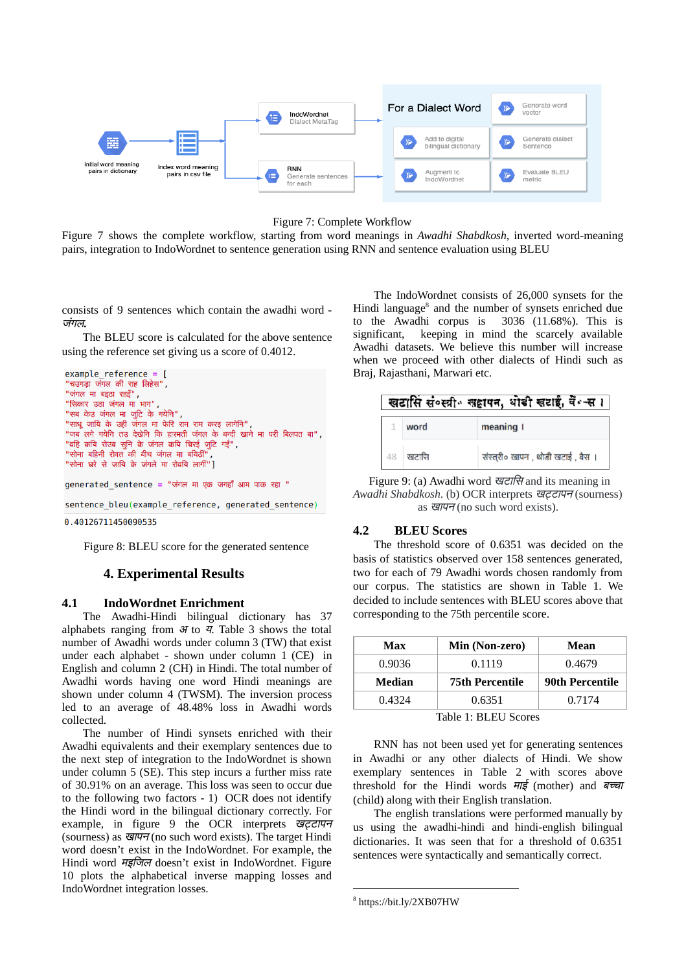

Figure 7: Complete Workflow

Figure 7 shows the complete workflow, starting from word meanings in *Awadhi Shabdkosh*, inverted word-meaning pairs, integration to IndoWordnet to sentence generation using RNN and sentence evaluation using BLEU

consists of 9 sentences which contain the awadhi word - जगं <sup>ल</sup>**.**

The BLEU score is calculated for the above sentence using the reference set giving us a score of 0.4012.

```
example reference = ["चत्पगदा जंगल की राह लिहेस" .
"जंगल मा बइठा रहइँ",
"सिकार उठा जंगल मा<sup>ं</sup>भाग",
"सब केउ जंगल मा जुटि के गयेनि" ,
"साधू जायि के उही जंगल मा फेरि राम राम करइ लागेनि"
"जब लगे गयेनि तउ देखेनि कि हारमती जंगल के बन्दी खाने मा परी बिलपत बा",
"वहि कयि रोउब सुनि के जंगल कयि चिरई जुटि गईं",
"सोना बहिनी रोवत की बीच जंगल मा बयिठी"
"सोना घरे से जायि के जंगले मा रोवयि लागीं"]
generated_sentence = "जंगल मा एक जगहाँ आम पाक रहा "
sentence_bleu(example_reference, generated_sentence)
0.40126711450090535
```
Figure 8: BLEU score for the generated sentence

# **4. Experimental Results**

# **4.1 IndoWordnet Enrichment**

The Awadhi-Hindi bilingual dictionary has 37 alphabets ranging from  $\mathcal H$  to  $\mathcal I$ . Table 3 shows the total number of Awadhi words under column 3 (TW) that exist under each alphabet - shown under column 1 (CE) in English and column 2 (CH) in Hindi. The total number of Awadhi words having one word Hindi meanings are shown under column 4 (TWSM). The inversion process led to an average of 48.48% loss in Awadhi words collected.

The number of Hindi synsets enriched with their Awadhi equivalents and their exemplary sentences due to the next step of integration to the IndoWordnet is shown under column 5 (SE). This step incurs a further miss rate of 30.91% on an average. This loss was seen to occur due to the following two factors - 1) OCR does not identify the Hindi word in the bilingual dictionary correctly. For example, in figure 9 the OCR interprets खट्टापन (sourness) as  $\overline{q\overline{q\overline{q}}(n)}$  (no such word exists). The target Hindi word doesn't exist in the IndoWordnet. For example, the Hindi word मइिजल doesn't exist in IndoWordnet. Figure 10 plots the alphabetical inverse mapping losses and IndoWordnet integration losses.

The IndoWordnet consists of 26,000 synsets for the Hindi language<sup>8</sup> and the number of synsets enriched due to the Awadhi corpus is 3036 (11.68%). This is significant, keeping in mind the scarcely available Awadhi datasets. We believe this number will increase when we proceed with other dialects of Hindi such as Braj, Rajasthani, Marwari etc.

|       | खटासि संव्स्त्री सहापन, धोडी खटाई, वें -स।  |
|-------|---------------------------------------------|
| word  | meaning I                                   |
| खटासि | संस्त् <b>री</b> ० खापन , थोडी खटाई , वैस । |

Figure 9: (a) Awadhi word खटािस and its meaning in *Awadhi Shabdkosh*. (b) OCR interprets खटापन (sourness) as  $\overline{q}$ ,  $\overline{q}$  (no such word exists).

# **4.2 BLEU Scores**

The threshold score of 0.6351 was decided on the basis of statistics observed over 158 sentences generated, two for each of 79 Awadhi words chosen randomly from our corpus. The statistics are shown in Table 1. We decided to include sentences with BLEU scores above that corresponding to the 75th percentile score.

| Max            | Min (Non-zero)         | Mean                   |  |  |
|----------------|------------------------|------------------------|--|--|
| 0.9036         | 0.1119                 | 0.4679                 |  |  |
| Median         | <b>75th Percentile</b> | <b>90th Percentile</b> |  |  |
| 0.4324         | 0.6351                 | 0.7174                 |  |  |
| $\overline{ }$ |                        |                        |  |  |

Table 1: BLEU Scores

RNN has not been used yet for generating sentences in Awadhi or any other dialects of Hindi. We show exemplary sentences in Table 2 with scores above threshold for the Hindi words  $H\bar{\xi}$  (mother) and  $\bar{\eta}$ (child) along with their English translation.

The english translations were performed manually by us using the awadhi-hindi and hindi-english bilingual dictionaries. It was seen that for a threshold of 0.6351 sentences were syntactically and semantically correct.

<sup>8</sup> https://bit.ly/2XB07HW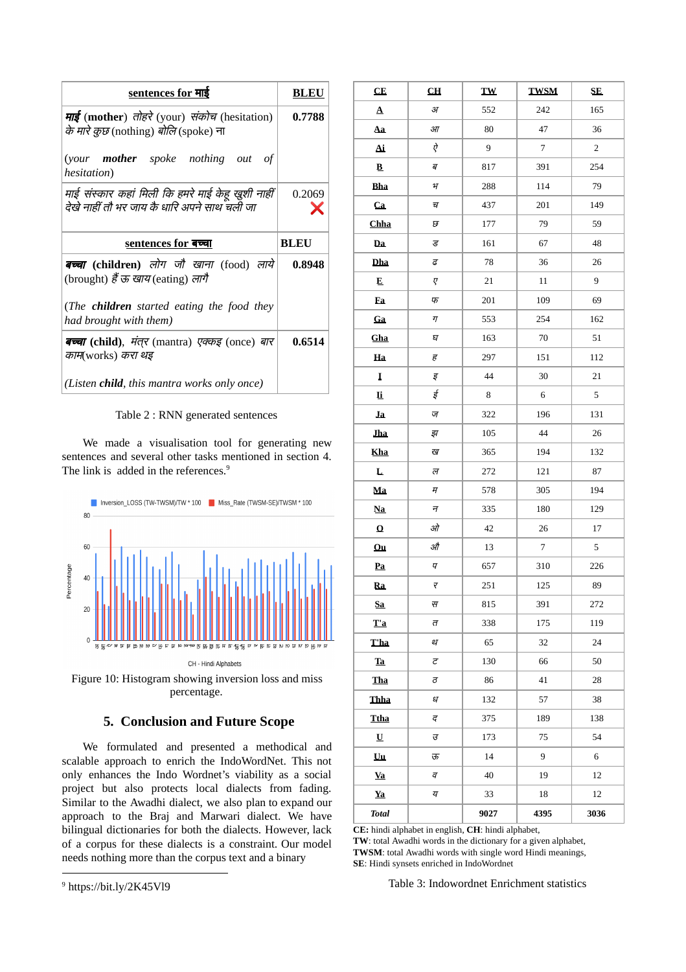| <u>sentences for माई</u>                                                                            | <b>BLEU</b> |
|-----------------------------------------------------------------------------------------------------|-------------|
| माई (mother) तोहरे (your) संकोच (hesitation)<br><i>के मारे कुछ</i> (nothing) <i>बोलि</i> (spoke) ना | 0.7788      |
| (your <b>mother</b> spoke nothing out of<br>hesitation)                                             |             |
| माई संस्कार कहां मिली कि हमरे माई केहु खुशी नाहीं<br>देखे नाहीं तौ भर जाय कै धारि अपने साथ चली जा   | 0.2069      |
|                                                                                                     |             |
| sentences for बच्चा                                                                                 | <b>BLEU</b> |
| बच्चा (children) लोग जौ खाना (food) लाये<br>(brought) हैं ऊ खाय (eating) लागै                       | 0.8948      |
| (The children started eating the food they<br>had brought with them)                                |             |
| बच्चा (child), मंतूर (mantra) <i>एक्कड्</i> (once) <i>बार</i><br>काम(works) करा थइ                  | 0.6514      |

Table 2 : RNN generated sentences

We made a visualisation tool for generating new sentences and several other tasks mentioned in section 4. The link is added in the references.<sup>9</sup>



Figure 10: Histogram showing inversion loss and miss percentage.

# **5. Conclusion and Future Scope**

We formulated and presented a methodical and scalable approach to enrich the IndoWordNet. This not only enhances the Indo Wordnet's viability as a social project but also protects local dialects from fading. Similar to the Awadhi dialect, we also plan to expand our approach to the Braj and Marwari dialect. We have bilingual dictionaries for both the dialects. However, lack of a corpus for these dialects is a constraint. Our model needs nothing more than the corpus text and a binary

| CE             | CL             | <b>TW</b> | <b>TWSM</b> | <b>SE</b>      |
|----------------|----------------|-----------|-------------|----------------|
| $\pmb{\Delta}$ | $\mathcal{J}$  | 552       | 242         | 165            |
| Aa             | $3\pi$         | 80        | 47          | 36             |
| Ai             | ऐ              | 9         | 7           | $\overline{2}$ |
| $\mathbf B$    | ब              | 817       | 391         | 254            |
| <b>Bha</b>     | $\eta$         | 288       | 114         | 79             |
| Ca             | च              | 437       | 201         | 149            |
| Chha           | छ              | 177       | 79          | 59             |
| $\mathbf{Da}$  | ड              | 161       | 67          | 48             |
| Dha            | $\overline{G}$ | 78        | 36          | 26             |
| E              | Ţ              | 21        | 11          | 9              |
| Ea             | फ              | 201       | 109         | 69             |
| Ga             | 丌              | 553       | 254         | 162            |
| <b>Gha</b>     | घ              | 163       | 70          | 51             |
| Ha             | ह              | 297       | 151         | 112            |
| I              | इ              | 44        | 30          | 21             |
| <b>li</b>      | ई              | 8         | $\,6\,$     | 5              |
| Ja             | ज              | 322       | 196         | 131            |
| <b>Jha</b>     | झ              | 105       | 44          | 26             |
| <b>Kha</b>     | ख              | 365       | 194         | 132            |
| L              | ल              | 272       | 121         | 87             |
| Ma             | म              | 578       | 305         | 194            |
| <b>Na</b>      | न              | 335       | 180         | 129            |
| $\bf{O}$       | ओ              | 42        | 26          | 17             |
| Ou             | औ              | 13        | 7           | 5              |
| Pa             | Ч              | 657       | 310         | 226            |
| Ra             | ₹              | 251       | 125         | 89             |
| Sa             | स              | 815       | 391         | 272            |
| T'a            | त              | 338       | 175         | 119            |
| <b>T</b> ha    | थ              | 65        | 32          | 24             |
| Ta             | ट              | 130       | 66          | 50             |
| Tha            | ਰ              | 86        | 41          | 28             |
| Thha           | ध              | 132       | 57          | 38             |
| <b>Ttha</b>    | द              | 375       | 189         | 138            |
| U              | ਰ              | 173       | 75          | 54             |
| Uu             | ऊ              | 14        | 9           | 6              |
| <b>Va</b>      | व              | 40        | 19          | 12             |
| Ya             | य              | 33        | 18          | 12             |

**CE:** hindi alphabet in english, **CH**: hindi alphabet,

**TW**: total Awadhi words in the dictionary for a given alphabet, **TWSM**: total Awadhi words with single word Hindi meanings, **SE**: Hindi synsets enriched in IndoWordnet

Table 3: Indowordnet Enrichment statistics

*Total* **9027 4395 3036**

<sup>&</sup>lt;sup>9</sup> https://bit.ly/2K45Vl9